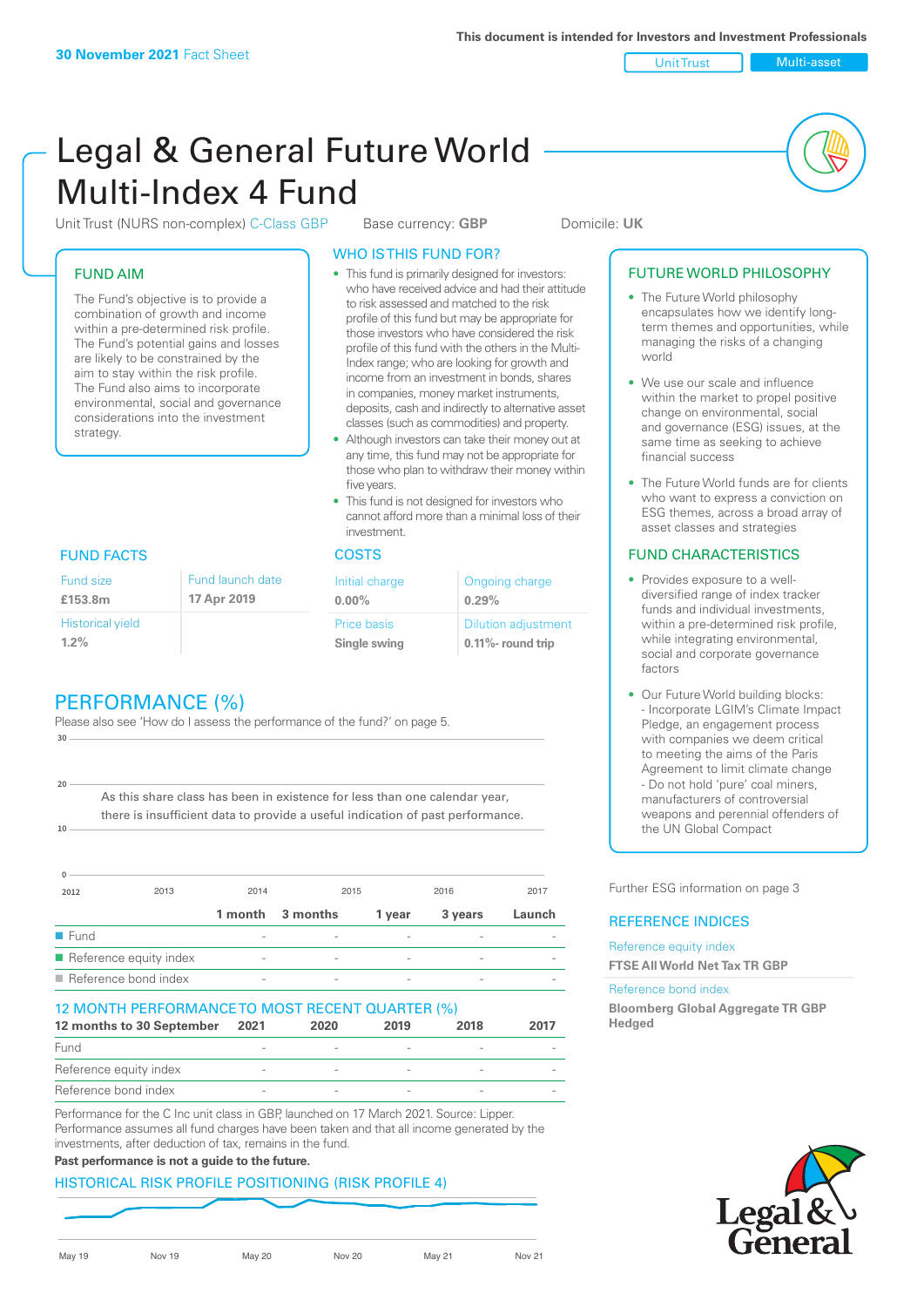Unit Trust Multi-asset

# Legal & General Future World Multi-Index 4 Fund

Unit Trust (NURS non-complex) C-Class GBP Base currency: **GBP** Domicile: UK

#### FUND AIM

The Fund's objective is to provide a combination of growth and income within a pre-determined risk profile. The Fund's potential gains and losses are likely to be constrained by the aim to stay within the risk profile. The Fund also aims to incorporate environmental, social and governance considerations into the investment strategy.

# WHO IS THIS FUND FOR?

- This fund is primarily designed for investors: who have received advice and had their attitude to risk assessed and matched to the risk profile of this fund but may be appropriate for those investors who have considered the risk profile of this fund with the others in the Multi-Index range; who are looking for growth and income from an investment in bonds, shares in companies, money market instruments, deposits, cash and indirectly to alternative asset classes (such as commodities) and property.
- Although investors can take their money out at any time, this fund may not be appropriate for those who plan to withdraw their money within five years.
- This fund is not designed for investors who cannot afford more than a minimal loss of their investment.

| Fund launch date | Initial charge              | Ongoing charge                                      |
|------------------|-----------------------------|-----------------------------------------------------|
| 17 Apr 2019      | $0.00\%$                    | 0.29%                                               |
|                  | Price basis<br>Single swing | <b>Dilution adjustment</b><br>$0.11\%$ - round trip |

### FUND FACTS COSTS

Historical yield

Fund size **£153.8m**

**1.2%**

**10**

**20**

| PERFORMANCE (%) |  |  |
|-----------------|--|--|

Please also see 'How do I assess the performance of the fund?' on page 5. **30**

As this share class has been in existence for less than one calendar year, there is insufficient data to provide a useful indication of past performance.

| $\Omega$             |                        |                          |          |        |         |        |
|----------------------|------------------------|--------------------------|----------|--------|---------|--------|
| 2012                 | 2013                   | 2014                     | 2015     |        | 2016    | 2017   |
|                      |                        | 1 month                  | 3 months | 1 year | 3 years | Launch |
| $\blacksquare$ Fund  |                        |                          |          |        |         |        |
|                      | Reference equity index | $\overline{\phantom{a}}$ |          | -      |         |        |
| Reference bond index |                        | $\overline{\phantom{a}}$ |          |        |         |        |

#### 12 MONTH PERFORMANCE TO MOST RECENT QUARTER (%)

| 12 months to 30 September | 2021 | 2020 | 2019 | 2018 | 2017 |
|---------------------------|------|------|------|------|------|
| Fund                      |      |      |      |      |      |
| Reference equity index    |      |      |      |      |      |
| Reference bond index      |      |      |      |      |      |

Performance for the C Inc unit class in GBP, launched on 17 March 2021. Source: Lipper. Performance assumes all fund charges have been taken and that all income generated by the investments, after deduction of tax, remains in the fund.

#### **Past performance is not a guide to the future.**

#### HISTORICAL RISK PROFILE POSITIONING (RISK PROFILE 4)

May 19 Nov 19 May 20 Nov 20 May 21 Nov 21

#### FUTURE WORLD PHILOSOPHY

- The Future World philosophy encapsulates how we identify longterm themes and opportunities, while managing the risks of a changing world
- We use our scale and influence within the market to propel positive change on environmental, social and governance (ESG) issues, at the same time as seeking to achieve financial success
- The Future World funds are for clients who want to express a conviction on ESG themes, across a broad array of asset classes and strategies

#### FUND CHARACTERISTICS

- Provides exposure to a welldiversified range of index tracker funds and individual investments, within a pre-determined risk profile while integrating environmental, social and corporate governance factors
- Our Future World building blocks: - Incorporate LGIM's Climate Impact Pledge, an engagement process with companies we deem critical to meeting the aims of the Paris Agreement to limit climate change - Do not hold 'pure' coal miners, manufacturers of controversial weapons and perennial offenders of the UN Global Compact

Further ESG information on page 3

#### REFERENCE INDICES

Reference equity index **FTSE All World Net Tax TR GBP**

#### Reference bond index

**Bloomberg Global Aggregate TR GBP Hedged**

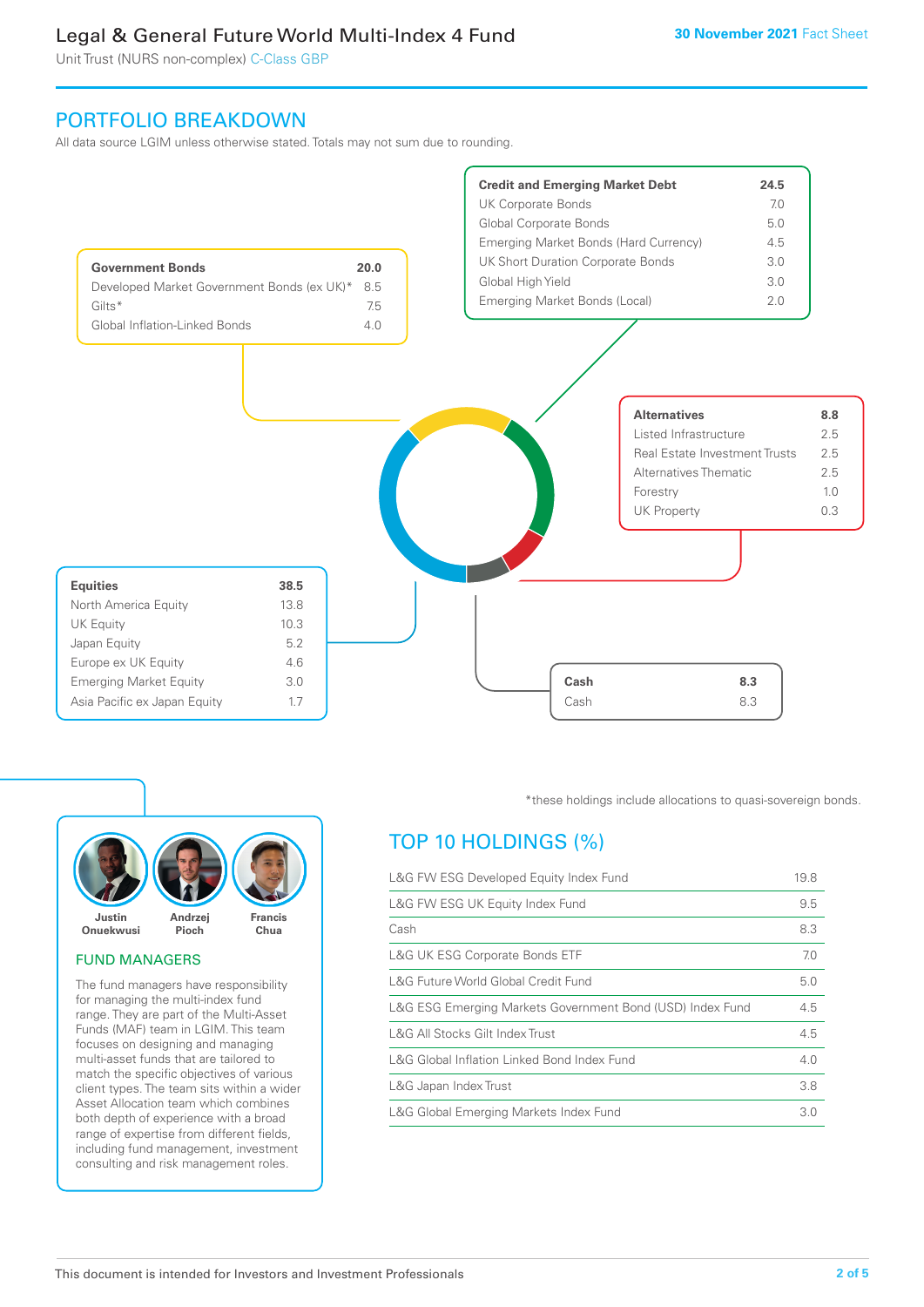Unit Trust (NURS non-complex) C-Class GBP

## PORTFOLIO BREAKDOWN

All data source LGIM unless otherwise stated. Totals may not sum due to rounding.





#### FUND MANAGERS

The fund managers have responsibility for managing the multi-index fund range. They are part of the Multi-Asset Funds (MAF) team in LGIM. This team focuses on designing and managing multi-asset funds that are tailored to match the specific objectives of various client types. The team sits within a wider Asset Allocation team which combines both depth of experience with a broad range of expertise from different fields, including fund management, investment consulting and risk management roles.

\*these holdings include allocations to quasi-sovereign bonds.

# TOP 10 HOLDINGS (%)

| L&G FW ESG Developed Equity Index Fund                    | 19.8 |
|-----------------------------------------------------------|------|
| L&G FW ESG UK Equity Index Fund                           | 9.5  |
| Cash                                                      | 8.3  |
| <b>L&amp;G UK ESG Corporate Bonds ETF</b>                 | 7.0  |
| L&G Future World Global Credit Fund                       | 5.0  |
| L&G ESG Emerging Markets Government Bond (USD) Index Fund | 4.5  |
| L&G All Stocks Gilt Index Trust                           | 4.5  |
| L&G Global Inflation Linked Bond Index Fund               | 4.0  |
| L&G Japan Index Trust                                     | 3.8  |
| L&G Global Emerging Markets Index Fund                    | 3.0  |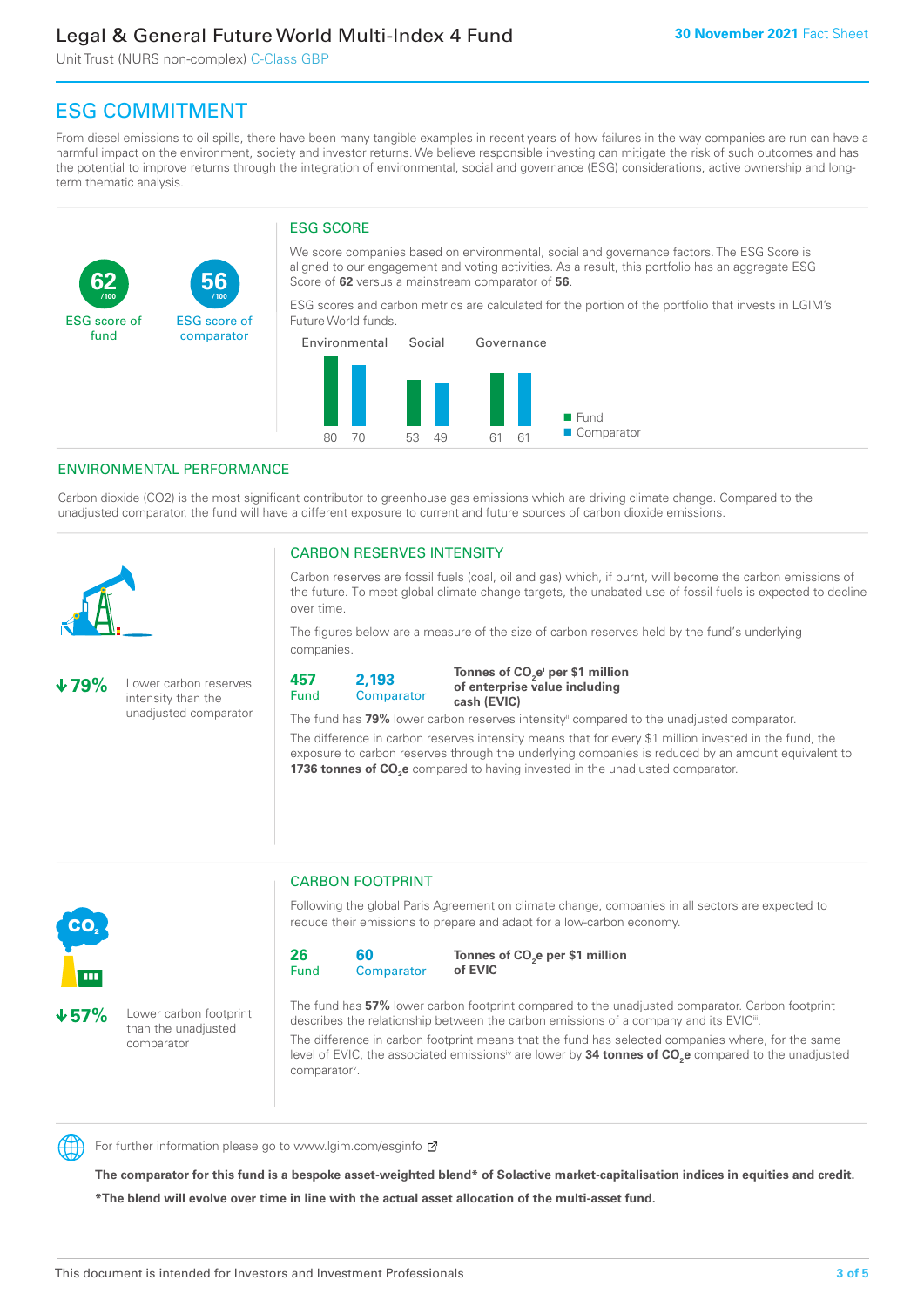Unit Trust (NURS non-complex) C-Class GBP

**56**

ESG score of comparator

# ESG COMMITMENT

From diesel emissions to oil spills, there have been many tangible examples in recent years of how failures in the way companies are run can have a harmful impact on the environment, society and investor returns. We believe responsible investing can mitigate the risk of such outcomes and has the potential to improve returns through the integration of environmental, social and governance (ESG) considerations, active ownership and longterm thematic analysis.

### ESG SCORE

We score companies based on environmental, social and governance factors. The ESG Score is aligned to our engagement and voting activities. As a result, this portfolio has an aggregate ESG Score of **62** versus a mainstream comparator of **56**.

ESG scores and carbon metrics are calculated for the portion of the portfolio that invests in LGIM's Future World funds.



#### ENVIRONMENTAL PERFORMANCE

**/100 /100**

Carbon dioxide (CO2) is the most significant contributor to greenhouse gas emissions which are driving climate change. Compared to the unadjusted comparator, the fund will have a different exposure to current and future sources of carbon dioxide emissions.



**62**

ESG score of fund

#### CARBON RESERVES INTENSITY

Carbon reserves are fossil fuels (coal, oil and gas) which, if burnt, will become the carbon emissions of the future. To meet global climate change targets, the unabated use of fossil fuels is expected to decline over time.

The figures below are a measure of the size of carbon reserves held by the fund's underlying companies.

**79%** Lower carbon reserves intensity than the unadjusted comparator

> than the unadjusted comparator



Tonnes of CO<sub>2</sub>e<sup>i</sup> per \$1 million **of enterprise value including cash (EVIC)**

The fund has 79% lower carbon reserves intensity<sup>ii</sup> compared to the unadjusted comparator.

The difference in carbon reserves intensity means that for every \$1 million invested in the fund, the exposure to carbon reserves through the underlying companies is reduced by an amount equivalent to **1736 tonnes of CO<sub>2</sub>e** compared to having invested in the unadjusted comparator.



# CARBON FOOTPRINT

Following the global Paris Agreement on climate change, companies in all sectors are expected to reduce their emissions to prepare and adapt for a low-carbon economy.



**Tonnes of CO2 e per \$1 million of EVIC**

The fund has **57%** lower carbon footprint compared to the unadjusted comparator. Carbon footprint describes the relationship between the carbon emissions of a company and its EVIC<sup>ii</sup>.

The difference in carbon footprint means that the fund has selected companies where, for the same level of EVIC, the associated emissions<sup>iv</sup> are lower by **34 tonnes of CO<sub>2</sub>e** compared to the unadjusted comparator<sup>v</sup>.



For further information please go to www.lgim.com/esginfo Ø

**The comparator for this fund is a bespoke asset-weighted blend\* of Solactive market-capitalisation indices in equities and credit. \*The blend will evolve over time in line with the actual asset allocation of the multi-asset fund.**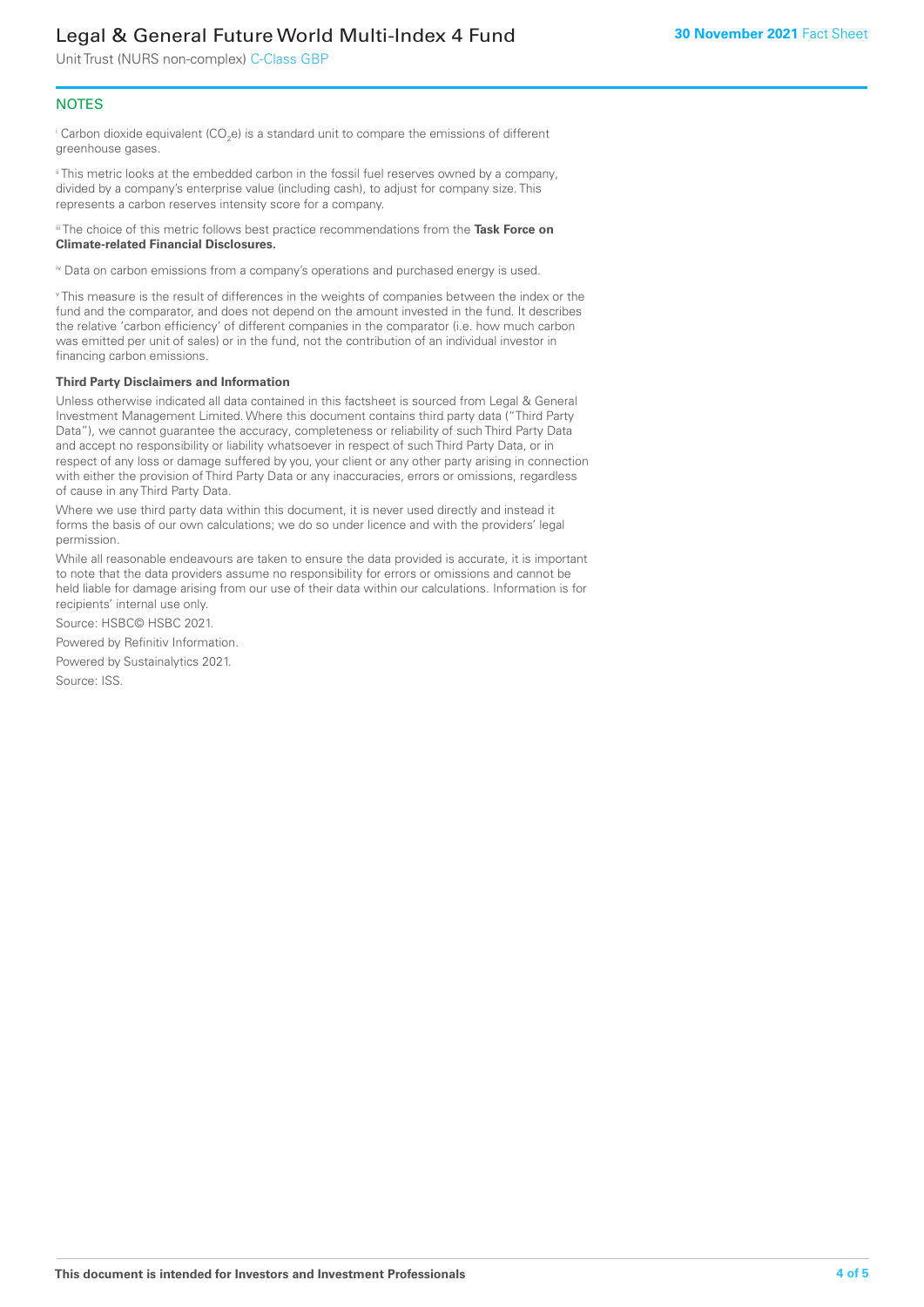Unit Trust (NURS non-complex) C-Class GBP

#### **NOTES**

 $^\mathrm{i}$  Carbon dioxide equivalent (CO<sub>2</sub>e) is a standard unit to compare the emissions of different greenhouse gases.

ii This metric looks at the embedded carbon in the fossil fuel reserves owned by a company, divided by a company's enterprise value (including cash), to adjust for company size. This represents a carbon reserves intensity score for a company.

iii The choice of this metric follows best practice recommendations from the **Task Force on Climate-related Financial Disclosures.**

iv Data on carbon emissions from a company's operations and purchased energy is used.

v This measure is the result of differences in the weights of companies between the index or the fund and the comparator, and does not depend on the amount invested in the fund. It describes the relative 'carbon efficiency' of different companies in the comparator (i.e. how much carbon was emitted per unit of sales) or in the fund, not the contribution of an individual investor in financing carbon emissions.

#### **Third Party Disclaimers and Information**

Unless otherwise indicated all data contained in this factsheet is sourced from Legal & General Investment Management Limited. Where this document contains third party data ("Third Party Data"), we cannot guarantee the accuracy, completeness or reliability of such Third Party Data and accept no responsibility or liability whatsoever in respect of such Third Party Data, or in respect of any loss or damage suffered by you, your client or any other party arising in connection with either the provision of Third Party Data or any inaccuracies, errors or omissions, regardless of cause in any Third Party Data.

Where we use third party data within this document, it is never used directly and instead it forms the basis of our own calculations; we do so under licence and with the providers' legal permission.

While all reasonable endeavours are taken to ensure the data provided is accurate, it is important to note that the data providers assume no responsibility for errors or omissions and cannot be held liable for damage arising from our use of their data within our calculations. Information is for recipients' internal use only.

Source: HSBC© HSBC 2021.

Powered by Refinitiv Information.

Powered by Sustainalytics 2021.

Source: ISS.